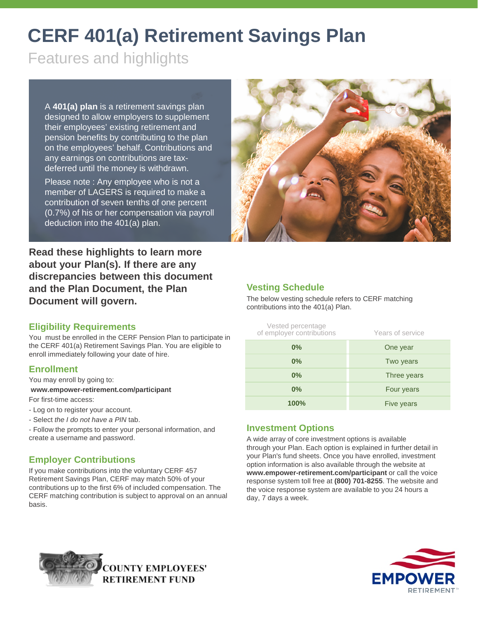# **CERF 401(a) Retirement Savings Plan**

Features and highlights

A **401(a) plan** is a retirement savings plan designed to allow employers to supplement their employees' existing retirement and pension benefits by contributing to the plan on the employees' behalf. Contributions and any earnings on contributions are taxdeferred until the money is withdrawn.

Please note : Any employee who is not a member of LAGERS is required to make a contribution of seven tenths of one percent (0.7%) of his or her compensation via payroll deduction into the 401(a) plan.



**Read these highlights to learn more about your Plan(s). If there are any discrepancies between this document and the Plan Document, the Plan Document will govern.**

## **Vesting Schedule**

The below vesting schedule refers to CERF matching contributions into the 401(a) Plan.

## **Eligibility Requirements**

You must be enrolled in the CERF Pension Plan to participate in the CERF 401(a) Retirement Savings Plan. You are eligible to enroll immediately following your date of hire.

#### **Enrollment**

You may enroll by going to:

**www.empower-retirement.com/participant** For first-time access:

- Log on to register your account.
- 
- Select *the I do not have a PIN* tab.
- Follow the prompts to enter your personal information, and create a username and password.

## **Employer Contributions**

If you make contributions into the voluntary CERF 457 Retirement Savings Plan, CERF may match 50% of your contributions up to the first 6% of included compensation. The CERF matching contribution is subject to approval on an annual basis.

## Vested percentage of employer contributions Years of service **0%** One year **0%** Two years **0%** Three years **0%** Four years **100%** Five years

## **Investment Options**

A wide array of core investment options is available through your Plan. Each option is explained in further detail in your Plan's fund sheets. Once you have enrolled, investment option information is also available through the website at **www.empower-retirement.com/participant** or call the voice response system toll free at **(800) 701-8255**. The website and the voice response system are available to you 24 hours a day, 7 days a week.